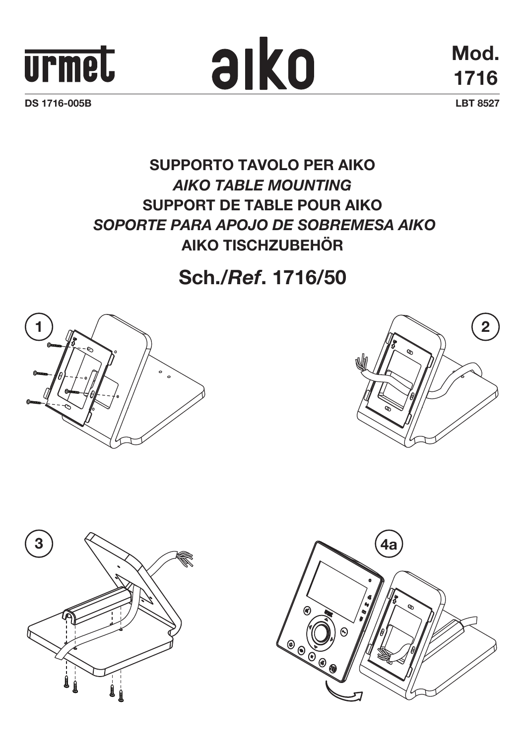



**Mod. 1716**

## **SUPPORTO TAVOLO PER AIKO** *AIKO table mounting* **SUPPORT DE table pour AIKO**  *SOPORTE para APOJO DE SOBREMESA AIKO* **AIKO TISCHZUBEHÖR**

## **Sch./***Ref***. 1716/50**